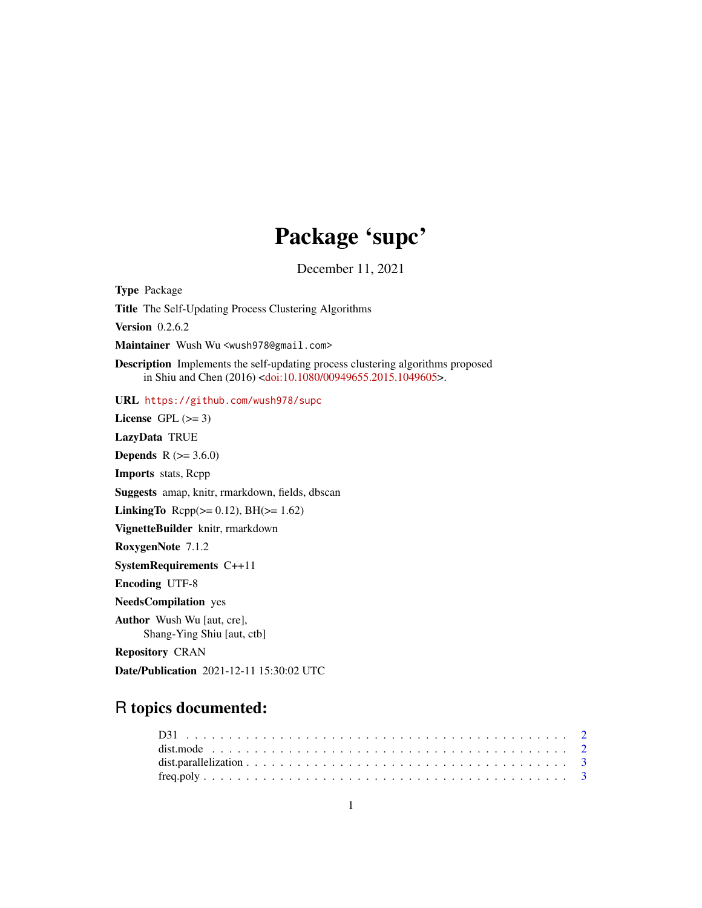# Package 'supc'

December 11, 2021

<span id="page-0-0"></span>Type Package Title The Self-Updating Process Clustering Algorithms Version 0.2.6.2 Maintainer Wush Wu <wush978@gmail.com> Description Implements the self-updating process clustering algorithms proposed in Shiu and Chen (2016) [<doi:10.1080/00949655.2015.1049605>](https://doi.org/10.1080/00949655.2015.1049605). URL <https://github.com/wush978/supc> License GPL  $(>= 3)$ LazyData TRUE **Depends** R  $(>= 3.6.0)$ Imports stats, Rcpp Suggests amap, knitr, rmarkdown, fields, dbscan **LinkingTo** Rcpp( $>= 0.12$ ), BH( $>= 1.62$ ) VignetteBuilder knitr, rmarkdown RoxygenNote 7.1.2 SystemRequirements C++11 Encoding UTF-8 NeedsCompilation yes Author Wush Wu [aut, cre], Shang-Ying Shiu [aut, ctb] Repository CRAN Date/Publication 2021-12-11 15:30:02 UTC

# R topics documented: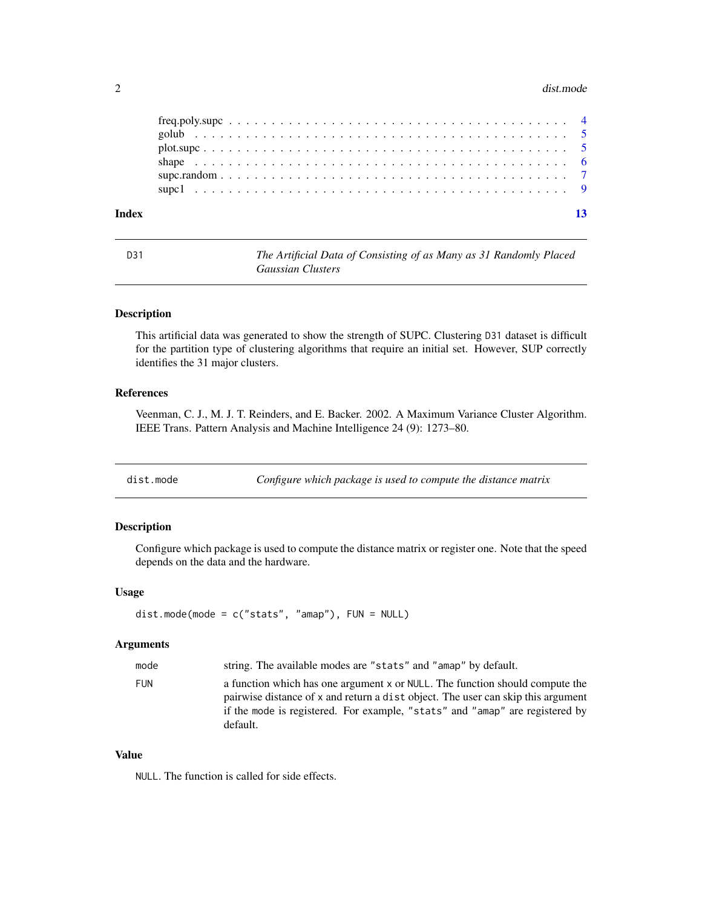#### <span id="page-1-0"></span>2 dist.mode

| Index |  |  |
|-------|--|--|

D31 *The Artificial Data of Consisting of as Many as 31 Randomly Placed Gaussian Clusters*

#### Description

This artificial data was generated to show the strength of SUPC. Clustering D31 dataset is difficult for the partition type of clustering algorithms that require an initial set. However, SUP correctly identifies the 31 major clusters.

#### References

Veenman, C. J., M. J. T. Reinders, and E. Backer. 2002. A Maximum Variance Cluster Algorithm. IEEE Trans. Pattern Analysis and Machine Intelligence 24 (9): 1273–80.

dist.mode *Configure which package is used to compute the distance matrix*

#### Description

Configure which package is used to compute the distance matrix or register one. Note that the speed depends on the data and the hardware.

#### Usage

```
dist.mode(mode = c("stats", "amap"), FUN = NULL)
```
# Arguments

| mode       | string. The available modes are "stats" and "amap" by default.                                                                                                                                                                                               |
|------------|--------------------------------------------------------------------------------------------------------------------------------------------------------------------------------------------------------------------------------------------------------------|
| <b>FUN</b> | a function which has one argument x or NULL. The function should compute the<br>pairwise distance of x and return a dist object. The user can skip this argument<br>if the mode is registered. For example, "stats" and "amap" are registered by<br>default. |

#### Value

NULL. The function is called for side effects.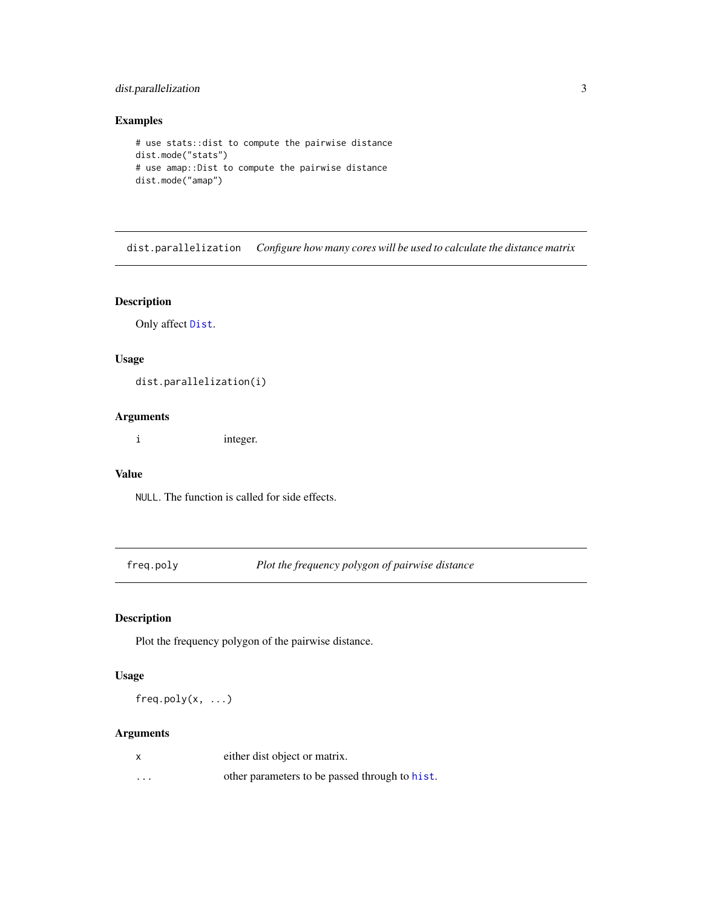# <span id="page-2-0"></span>dist.parallelization 3

#### Examples

```
# use stats::dist to compute the pairwise distance
dist.mode("stats")
# use amap::Dist to compute the pairwise distance
dist.mode("amap")
```
dist.parallelization *Configure how many cores will be used to calculate the distance matrix*

# Description

Only affect [Dist](#page-0-0).

# Usage

dist.parallelization(i)

# Arguments

i integer.

# Value

NULL. The function is called for side effects.

freq.poly *Plot the frequency polygon of pairwise distance*

# Description

Plot the frequency polygon of the pairwise distance.

# Usage

 $freq.poly(x, \ldots)$ 

#### Arguments

|          | either dist object or matrix.                  |
|----------|------------------------------------------------|
| $\cdots$ | other parameters to be passed through to hist. |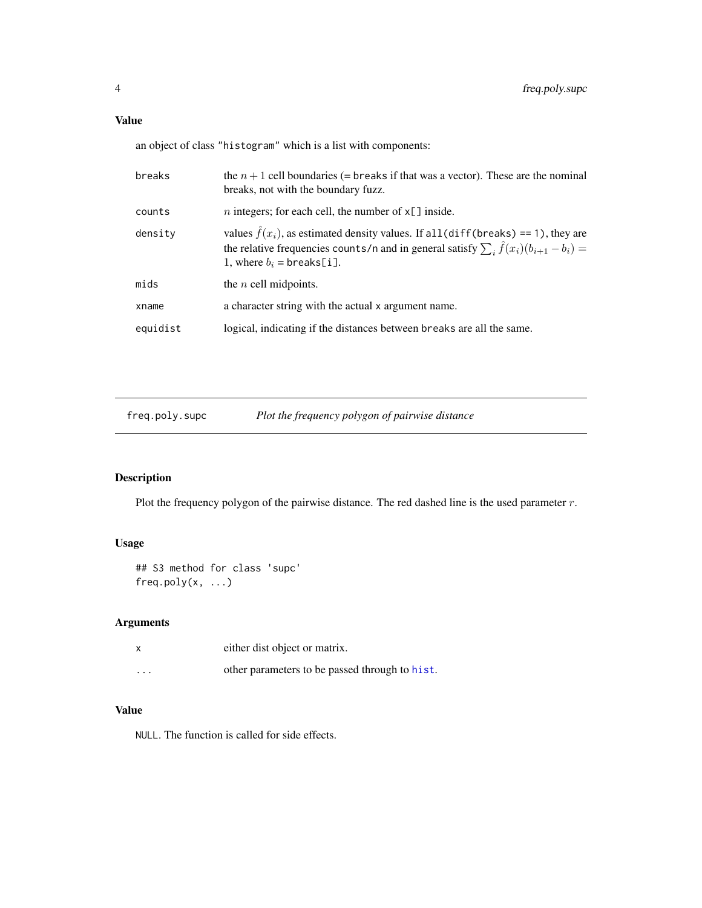<span id="page-3-0"></span>an object of class "histogram" which is a list with components:

| breaks   | the $n+1$ cell boundaries (= breaks if that was a vector). These are the nominal<br>breaks, not with the boundary fuzz.                                                                                                             |
|----------|-------------------------------------------------------------------------------------------------------------------------------------------------------------------------------------------------------------------------------------|
| counts   | <i>n</i> integers; for each cell, the number of $x[\ ]$ inside.                                                                                                                                                                     |
| density  | values $\hat{f}(x_i)$ , as estimated density values. If all (diff(breaks) == 1), they are<br>the relative frequencies counts/n and in general satisfy $\sum_i \hat{f}(x_i)(b_{i+1} - b_i) =$<br>1, where $b_i = \text{breaks[i]}$ . |
| mids     | the $n$ cell midpoints.                                                                                                                                                                                                             |
| xname    | a character string with the actual x argument name.                                                                                                                                                                                 |
| equidist | logical, indicating if the distances between breaks are all the same.                                                                                                                                                               |

freq.poly.supc *Plot the frequency polygon of pairwise distance*

# Description

Plot the frequency polygon of the pairwise distance. The red dashed line is the used parameter r.

# Usage

```
## S3 method for class 'supc'
freq.poly(x, ...)
```
# Arguments

|          | either dist object or matrix.                  |
|----------|------------------------------------------------|
| $\cdots$ | other parameters to be passed through to hist. |

# Value

NULL. The function is called for side effects.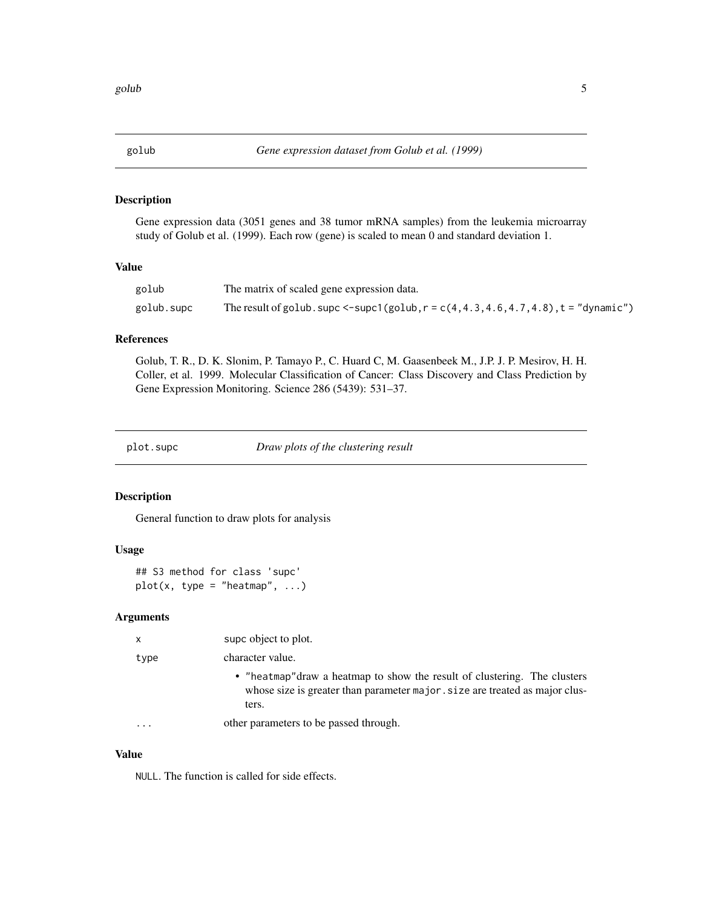<span id="page-4-0"></span>

#### Description

Gene expression data (3051 genes and 38 tumor mRNA samples) from the leukemia microarray study of Golub et al. (1999). Each row (gene) is scaled to mean 0 and standard deviation 1.

#### Value

| golub      | The matrix of scaled gene expression data.                                                 |
|------------|--------------------------------------------------------------------------------------------|
| golub.supc | The result of golub. supc $\le$ -supc1(golub, r = c(4, 4.3, 4.6, 4.7, 4.8), t = "dynamic") |

#### References

Golub, T. R., D. K. Slonim, P. Tamayo P., C. Huard C, M. Gaasenbeek M., J.P. J. P. Mesirov, H. H. Coller, et al. 1999. Molecular Classification of Cancer: Class Discovery and Class Prediction by Gene Expression Monitoring. Science 286 (5439): 531–37.

plot.supc *Draw plots of the clustering result*

#### Description

General function to draw plots for analysis

#### Usage

## S3 method for class 'supc'  $plot(x, type = "heatmap", ...)$ 

#### Arguments

| X    | supc object to plot.                                                                                                                                               |
|------|--------------------------------------------------------------------------------------------------------------------------------------------------------------------|
| type | character value.                                                                                                                                                   |
|      | • "heatmap" draw a heatmap to show the result of clustering. The clusters<br>whose size is greater than parameter major . size are treated as major clus-<br>ters. |
|      | other parameters to be passed through.                                                                                                                             |

## Value

NULL. The function is called for side effects.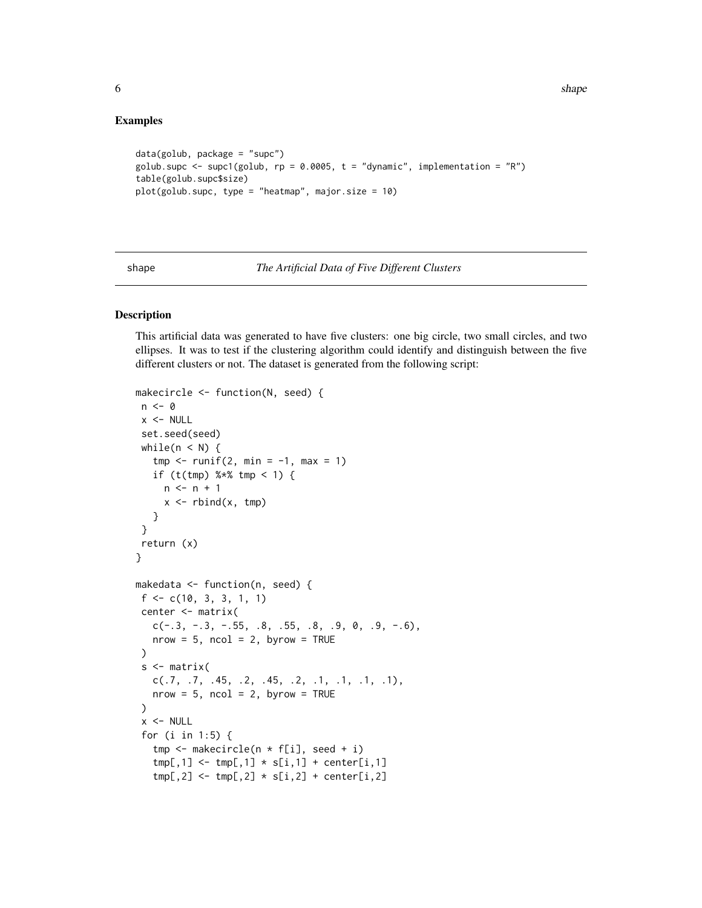#### Examples

```
data(golub, package = "supc")
golub.supc <- supc1(golub, rp = 0.0005, t = "dynamic", implementation = "R")
table(golub.supc$size)
plot(golub.supc, type = "heatmap", major.size = 10)
```
shape *The Artificial Data of Five Different Clusters*

# Description

This artificial data was generated to have five clusters: one big circle, two small circles, and two ellipses. It was to test if the clustering algorithm could identify and distinguish between the five different clusters or not. The dataset is generated from the following script:

```
makecircle <- function(N, seed) {
n \leq -\emptysetx < - NULL
 set.seed(seed)
 while(n < N) {
   tmp \leftarrow runif(2, min = -1, max = 1)if (t(tmp) % * tmp < 1) {
     n \leq -n + 1x \le - rbind(x, tmp)
   }
 }
 return (x)
}
makedata <- function(n, seed) {
f \leftarrow c(10, 3, 3, 1, 1)center <- matrix(
   c(-.3, -.3, -.55, .8, .55, .8, .9, 0, .9, -.6)nrow = 5, ncol = 2, byrow = TRUE)
 s <- matrix(
   c(.7, .7, .45, .2, .45, .2, .1, .1, .1, .1),
   nrow = 5, ncol = 2, byrow = TRUE)
 x < - NULL
 for (i in 1:5) {
   tmp <- makecircle(n * f[i], seed + i)
   tmp[,1] \leftarrow tmp[,1] \times s[i,1] + center[i,1]tmp[,2] \leftarrow tmp[,2] \times s[i,2] + center[i,2]
```
<span id="page-5-0"></span>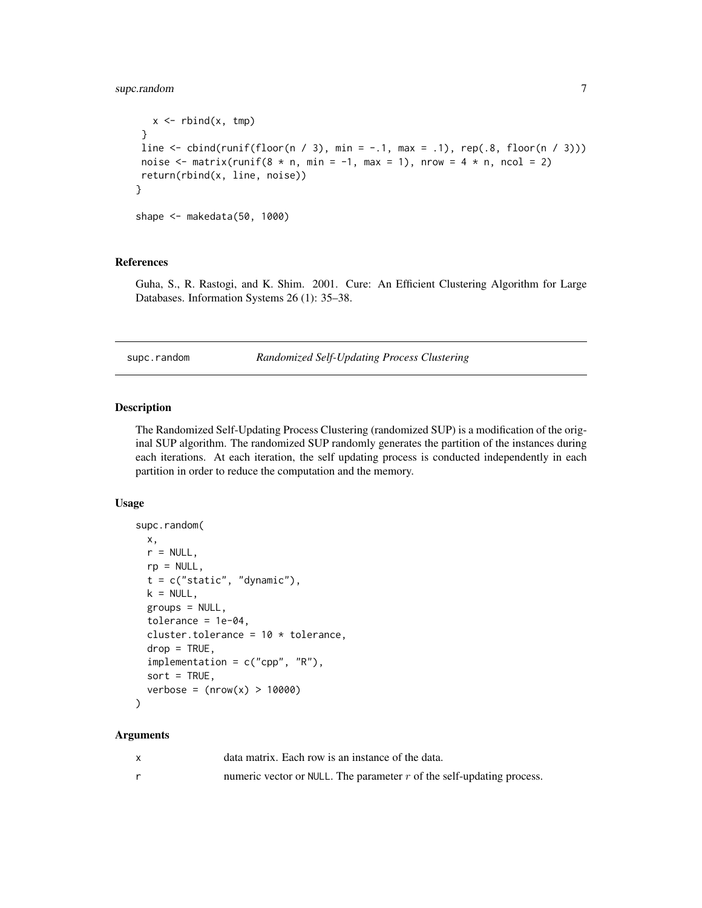# <span id="page-6-0"></span>supc.random 7

```
x \le rbind(x, tmp)
}
line \le cbind(runif(floor(n / 3), min = -.1, max = .1), rep(.8, floor(n / 3)))
noise \leq matrix(runif(8 * n, min = -1, max = 1), nrow = 4 * n, ncol = 2)
return(rbind(x, line, noise))
}
shape <- makedata(50, 1000)
```
#### References

Guha, S., R. Rastogi, and K. Shim. 2001. Cure: An Efficient Clustering Algorithm for Large Databases. Information Systems 26 (1): 35–38.

supc.random *Randomized Self-Updating Process Clustering*

#### Description

The Randomized Self-Updating Process Clustering (randomized SUP) is a modification of the original SUP algorithm. The randomized SUP randomly generates the partition of the instances during each iterations. At each iteration, the self updating process is conducted independently in each partition in order to reduce the computation and the memory.

#### Usage

```
supc.random(
 x,
 r = NULL,rp = NULL,t = c("static", "dynamic"),k = NULL,groups = NULL,tolerance = 1e-04,cluster.tolerance = 10 * tolerance,
 drop = TRUE,implementation = c("cpp", "R"),
 sort = TRUE,verbose = (nrow(x) > 10000))
```
#### Arguments

| data matrix. Each row is an instance of the data.                       |
|-------------------------------------------------------------------------|
| numeric vector or NULL. The parameter $r$ of the self-updating process. |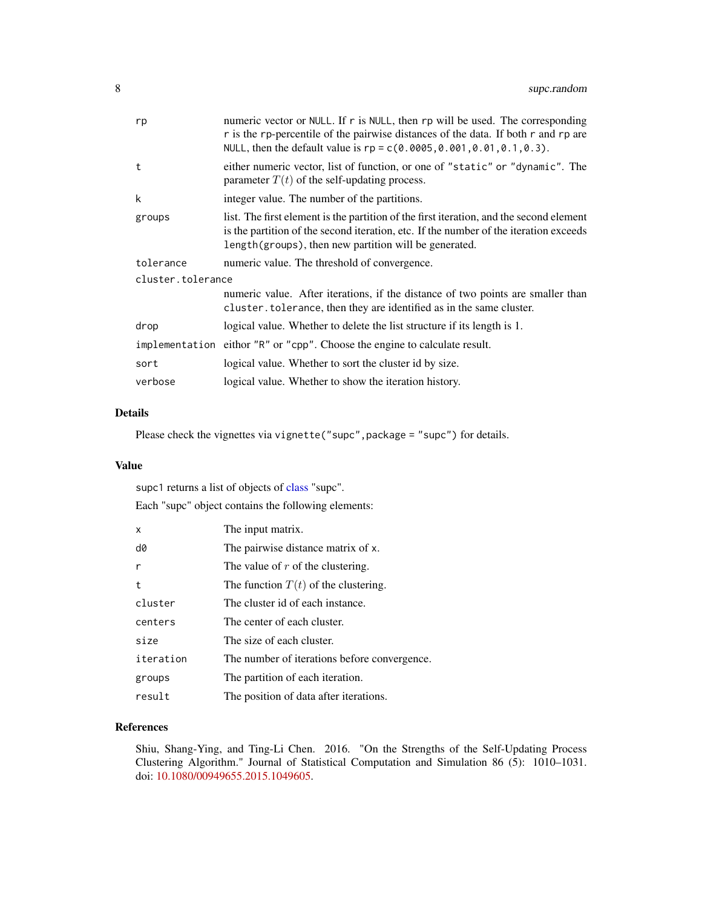<span id="page-7-0"></span>

| rp                | numeric vector or NULL. If r is NULL, then rp will be used. The corresponding<br>r is the rp-percentile of the pairwise distances of the data. If both r and rp are<br>NULL, then the default value is $rp = c(0.0005, 0.001, 0.01, 0.1, 0.3)$ . |
|-------------------|--------------------------------------------------------------------------------------------------------------------------------------------------------------------------------------------------------------------------------------------------|
| t                 | either numeric vector, list of function, or one of "static" or "dynamic". The<br>parameter $T(t)$ of the self-updating process.                                                                                                                  |
| k                 | integer value. The number of the partitions.                                                                                                                                                                                                     |
| groups            | list. The first element is the partition of the first iteration, and the second element<br>is the partition of the second iteration, etc. If the number of the iteration exceeds<br>length(groups), then new partition will be generated.        |
| tolerance         | numeric value. The threshold of convergence.                                                                                                                                                                                                     |
| cluster.tolerance |                                                                                                                                                                                                                                                  |
|                   | numeric value. After iterations, if the distance of two points are smaller than<br>cluster. tolerance, then they are identified as in the same cluster.                                                                                          |
| drop              | logical value. Whether to delete the list structure if its length is 1.                                                                                                                                                                          |
|                   | implementation eithor "R" or "cpp". Choose the engine to calculate result.                                                                                                                                                                       |
| sort              | logical value. Whether to sort the cluster id by size.                                                                                                                                                                                           |
| verbose           | logical value. Whether to show the iteration history.                                                                                                                                                                                            |

#### Details

Please check the vignettes via vignette("supc", package = "supc") for details.

#### Value

supc1 returns a list of objects of [class](#page-0-0) "supc".

Each "supc" object contains the following elements:

| X            | The input matrix.                            |
|--------------|----------------------------------------------|
| d0           | The pairwise distance matrix of x.           |
| $\mathsf{r}$ | The value of $r$ of the clustering.          |
| t            | The function $T(t)$ of the clustering.       |
| cluster      | The cluster id of each instance.             |
| centers      | The center of each cluster.                  |
| size         | The size of each cluster.                    |
| iteration    | The number of iterations before convergence. |
| groups       | The partition of each iteration.             |
| result       | The position of data after iterations.       |

# References

Shiu, Shang-Ying, and Ting-Li Chen. 2016. "On the Strengths of the Self-Updating Process Clustering Algorithm." Journal of Statistical Computation and Simulation 86 (5): 1010–1031. doi: [10.1080/00949655.2015.1049605.](https://doi.org/10.1080/00949655.2015.1049605)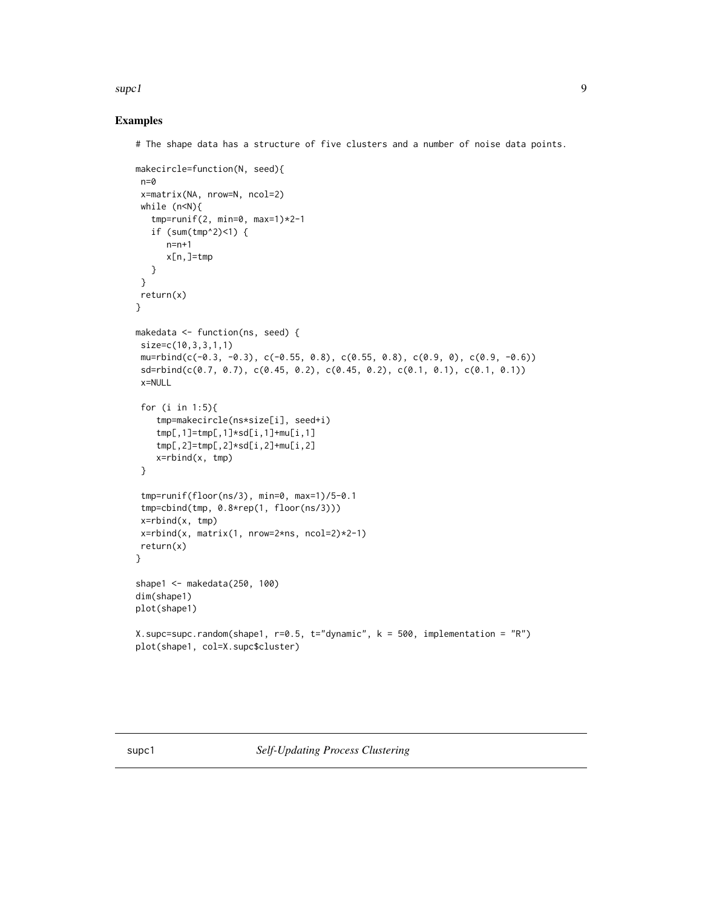#### <span id="page-8-0"></span> $\mathsf{supc1}$  9

### Examples

# The shape data has a structure of five clusters and a number of noise data points.

```
makecircle=function(N, seed){
 n=0
 x=matrix(NA, nrow=N, ncol=2)
 while (n<N){
   tmp=runif(2, min=0, max=1)*2-1
   if (sum(tmp^2)<1) {
     n=n+1
      x[n,]=tmp
   }
 }
 return(x)
}
makedata <- function(ns, seed) {
 size=c(10,3,3,1,1)
 mu=rbind(c(-0.3, -0.3), c(-0.55, 0.8), c(0.55, 0.8), c(0.9, 0), c(0.9, -0.6))
 sd=rbind(c(0.7, 0.7), c(0.45, 0.2), c(0.45, 0.2), c(0.1, 0.1), c(0.1, 0.1))
 x=NULL
 for (i in 1:5){
    tmp=makecircle(ns*size[i], seed+i)
    tmp[,1]=tmp[,1]*sd[i,1]+mu[i,1]
    tmp[,2]=tmp[,2]*sd[i,2]+mu[i,2]
    x=rbind(x, tmp)
 }
 tmp=runif(floor(ns/3), min=0, max=1)/5-0.1
 tmp=cbind(tmp, 0.8*rep(1, floor(ns/3)))
 x=rbind(x, tmp)
 x=rbind(x, matrix(1, nrow=2*ns, ncol=2)*2-1)
 return(x)
}
shape1 <- makedata(250, 100)
dim(shape1)
plot(shape1)
X.supc=supc.random(shape1, r=0.5, t="dynamic", k = 500, implementation = "R")
plot(shape1, col=X.supc$cluster)
```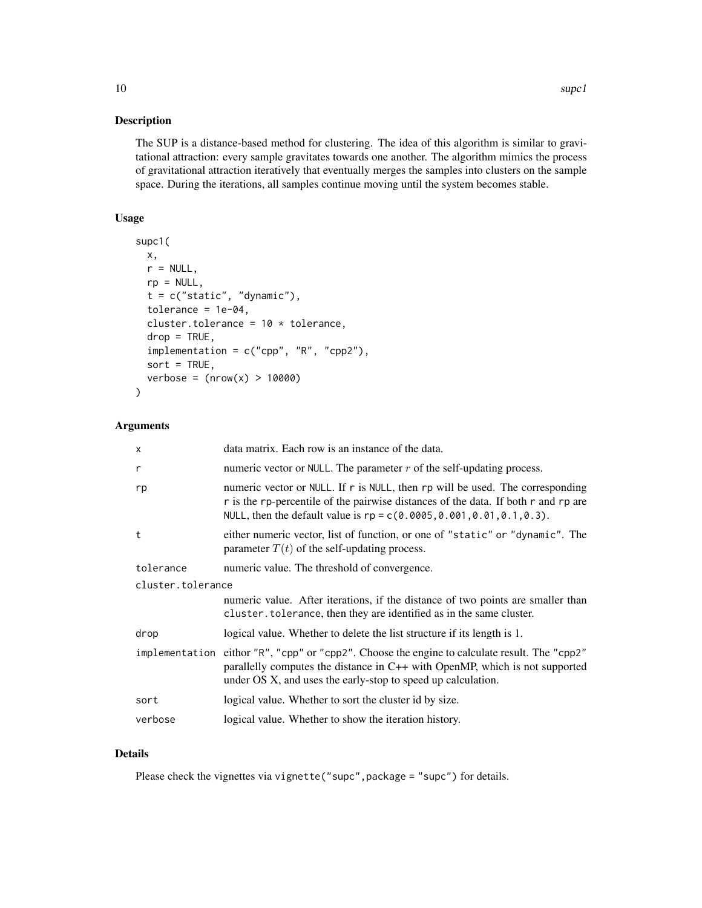The SUP is a distance-based method for clustering. The idea of this algorithm is similar to gravitational attraction: every sample gravitates towards one another. The algorithm mimics the process of gravitational attraction iteratively that eventually merges the samples into clusters on the sample space. During the iterations, all samples continue moving until the system becomes stable.

#### Usage

```
supc1(
 x,
 r = NULL,rp = NULL,t = c("static", "dynamic"),
  tolerance = 1e-04,cluster.tolerance = 10 * tolerance,
  drop = TRUE,implementation = c("cpp", "R", "cpp2"),
  sort = TRUE,verbose = (nrow(x) > 10000)\mathcal{L}
```
#### Arguments

| X                 | data matrix. Each row is an instance of the data.                                                                                                                                                                                                |  |
|-------------------|--------------------------------------------------------------------------------------------------------------------------------------------------------------------------------------------------------------------------------------------------|--|
| r                 | numeric vector or NULL. The parameter $r$ of the self-updating process.                                                                                                                                                                          |  |
| rp                | numeric vector or NULL. If r is NULL, then rp will be used. The corresponding<br>r is the rp-percentile of the pairwise distances of the data. If both r and rp are<br>NULL, then the default value is $rp = c(0.0005, 0.001, 0.01, 0.1, 0.3)$ . |  |
| t                 | either numeric vector, list of function, or one of "static" or "dynamic". The<br>parameter $T(t)$ of the self-updating process.                                                                                                                  |  |
| tolerance         | numeric value. The threshold of convergence.                                                                                                                                                                                                     |  |
| cluster.tolerance |                                                                                                                                                                                                                                                  |  |
|                   | numeric value. After iterations, if the distance of two points are smaller than<br>cluster. tolerance, then they are identified as in the same cluster.                                                                                          |  |
| drop              | logical value. Whether to delete the list structure if its length is 1.                                                                                                                                                                          |  |
|                   | implementation eithor "R", "cpp" or "cpp2". Choose the engine to calculate result. The "cpp2"<br>parallelly computes the distance in C++ with OpenMP, which is not supported<br>under OS X, and uses the early-stop to speed up calculation.     |  |
| sort              | logical value. Whether to sort the cluster id by size.                                                                                                                                                                                           |  |
| verbose           |                                                                                                                                                                                                                                                  |  |

# Details

Please check the vignettes via vignette("supc", package = "supc") for details.

10 superland to the state of the state of the state of the state of the state of the state of the state of the state of the state of the state of the state of the state of the state of the state of the state of the state o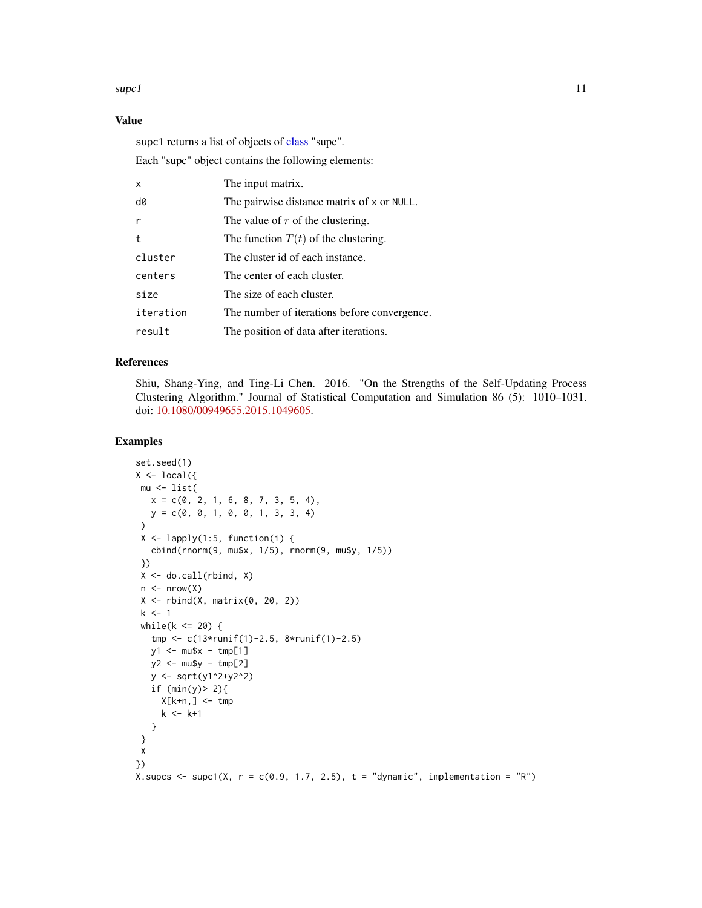#### <span id="page-10-0"></span> $\mathbf{supc1}$  11

# Value

supc1 returns a list of objects of [class](#page-0-0) "supc".

Each "supc" object contains the following elements:

| X         | The input matrix.                            |
|-----------|----------------------------------------------|
| d0        | The pairwise distance matrix of x or NULL.   |
| r         | The value of $r$ of the clustering.          |
| t         | The function $T(t)$ of the clustering.       |
| cluster   | The cluster id of each instance.             |
| centers   | The center of each cluster.                  |
| size      | The size of each cluster.                    |
| iteration | The number of iterations before convergence. |
| result    | The position of data after iterations.       |

#### References

Shiu, Shang-Ying, and Ting-Li Chen. 2016. "On the Strengths of the Self-Updating Process Clustering Algorithm." Journal of Statistical Computation and Simulation 86 (5): 1010–1031. doi: [10.1080/00949655.2015.1049605.](https://doi.org/10.1080/00949655.2015.1049605)

# Examples

```
set.seed(1)
X \leftarrow local({}mu <- list(
   x = c(0, 2, 1, 6, 8, 7, 3, 5, 4),y = c(0, 0, 1, 0, 0, 1, 3, 3, 4)
 )
 X \leftarrow \text{lapply}(1:5, \text{ function}(i) )cbind(rnorm(9, mu$x, 1/5), rnorm(9, mu$y, 1/5))
 })
 X \leftarrow do-call(rbind, X)n \leq -nrow(X)X \leftarrow \text{rbind}(X, \text{ matrix}(0, 20, 2))k < -1while(k \le 20) {
   tmp <- c(13*runif(1)-2.5, 8*runif(1)-2.5)
   y1 \le - mu$x - tmp[1]
   y2 <- mu$y - tmp[2]
   y <- sqrt(y1^2+y2^2)
   if (min(y) > 2){
     X[k+n, ] \leq tmp
     k <- k+1
   }
 }
X
})
X. supcs \leq supc1(X, r = c(0.9, 1.7, 2.5), t = "dynamic", implementation = "R")
```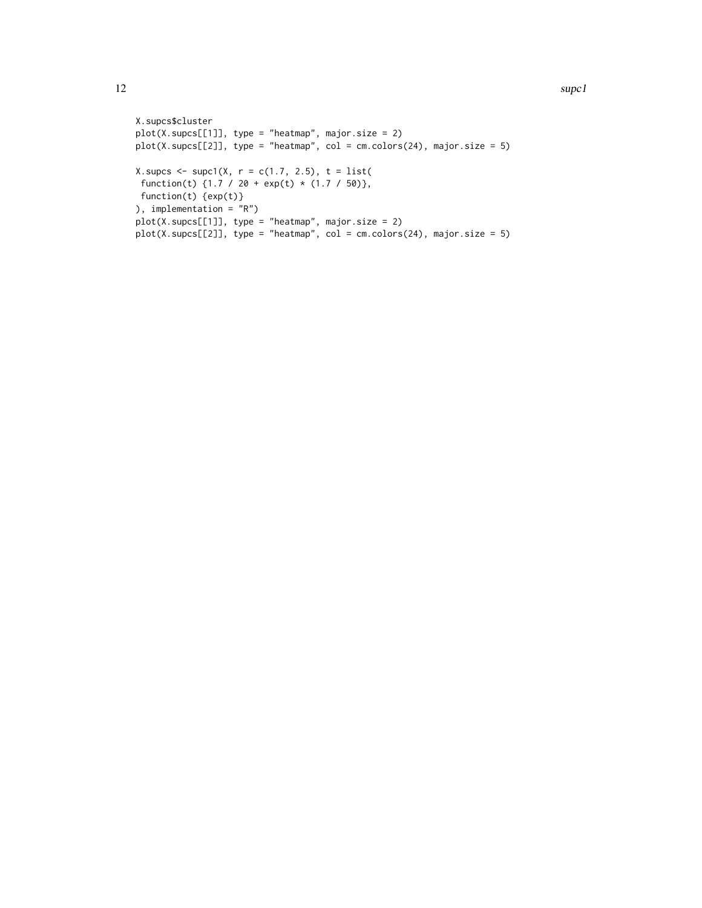```
X.supcs$cluster
plot(X.supcs[[1]], type = "heatmap", major.size = 2)
plot(X.supcs[[2]], type = "heatmap", col = cm.colors(24), major.size = 5)X.supcs <- supc1(X, r = c(1.7, 2.5), t = list(function(t) \{1.7 / 20 + \exp(t) * (1.7 / 50)\},function(t) {exp(t)}
), implementation = "R")
plot(X.supcs[[1]], type = "heatmap", major.size = 2)
plot(X, supcs[[2]], type = "heatmap", col = cm.close(24), major.size = 5)
```